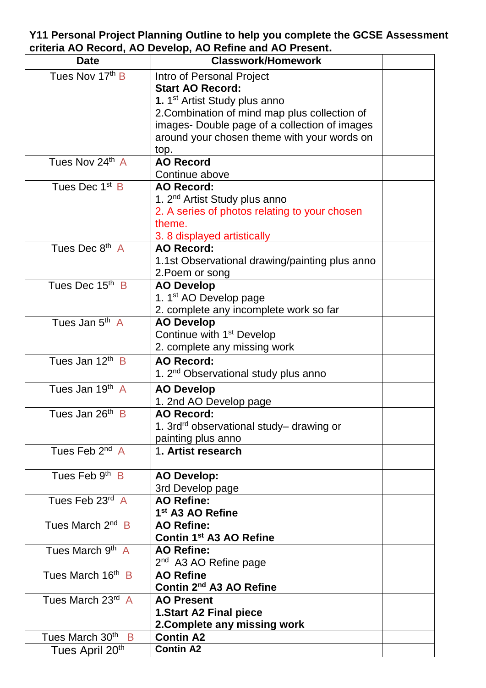## **Y11 Personal Project Planning Outline to help you complete the GCSE Assessment criteria AO Record, AO Develop, AO Refine and AO Present.**

| <b>Date</b>                  | <b>Classwork/Homework</b>                            |  |
|------------------------------|------------------------------------------------------|--|
| Tues Nov 17th B              | Intro of Personal Project                            |  |
|                              | <b>Start AO Record:</b>                              |  |
|                              | 1. 1 <sup>st</sup> Artist Study plus anno            |  |
|                              | 2. Combination of mind map plus collection of        |  |
|                              | images- Double page of a collection of images        |  |
|                              | around your chosen theme with your words on          |  |
|                              | top.                                                 |  |
| Tues Nov 24th A              | <b>AO Record</b>                                     |  |
|                              | Continue above                                       |  |
| Tues Dec 1 <sup>st</sup> B   | <b>AO Record:</b>                                    |  |
|                              | 1. 2 <sup>nd</sup> Artist Study plus anno            |  |
|                              | 2. A series of photos relating to your chosen        |  |
|                              | theme.                                               |  |
|                              | 3. 8 displayed artistically                          |  |
| Tues Dec 8th A               | <b>AO Record:</b>                                    |  |
|                              | 1.1st Observational drawing/painting plus anno       |  |
|                              | 2. Poem or song                                      |  |
| Tues Dec 15th B              | <b>AO Develop</b>                                    |  |
|                              | 1. 1 <sup>st</sup> AO Develop page                   |  |
|                              | 2. complete any incomplete work so far               |  |
| Tues Jan 5 <sup>th</sup> A   | <b>AO Develop</b>                                    |  |
|                              | Continue with 1 <sup>st</sup> Develop                |  |
|                              | 2. complete any missing work                         |  |
| Tues Jan 12 <sup>th</sup> B  | <b>AO Record:</b>                                    |  |
|                              | 1. 2 <sup>nd</sup> Observational study plus anno     |  |
| Tues Jan 19 <sup>th</sup> A  | <b>AO Develop</b>                                    |  |
|                              | 1. 2nd AO Develop page                               |  |
| Tues Jan 26 <sup>th</sup> B  | <b>AO Record:</b>                                    |  |
|                              | 1. 3rd <sup>rd</sup> observational study– drawing or |  |
|                              | painting plus anno                                   |  |
| Tues Feb $2^{nd}$ A          | 1. Artist research                                   |  |
| Tues Feb $9th$ B             | <b>AO Develop:</b>                                   |  |
|                              | 3rd Develop page                                     |  |
| Tues Feb 23rd A              | <b>AO Refine:</b>                                    |  |
|                              | 1 <sup>st</sup> A3 AO Refine                         |  |
| Tues March 2 <sup>nd</sup> B | <b>AO Refine:</b>                                    |  |
|                              | Contin 1 <sup>st</sup> A3 AO Refine                  |  |
| Tues March 9 <sup>th</sup> A | <b>AO Refine:</b>                                    |  |
|                              | 2 <sup>nd</sup> A3 AO Refine page                    |  |
| Tues March 16th B            | <b>AO Refine</b>                                     |  |
|                              | Contin 2 <sup>nd</sup> A3 AO Refine                  |  |
| Tues March 23rd A            | <b>AO Present</b>                                    |  |
|                              | <b>1.Start A2 Final piece</b>                        |  |
|                              | 2. Complete any missing work                         |  |
| Tues March 30th B            | <b>Contin A2</b>                                     |  |
| Tues April 20 <sup>th</sup>  | <b>Contin A2</b>                                     |  |